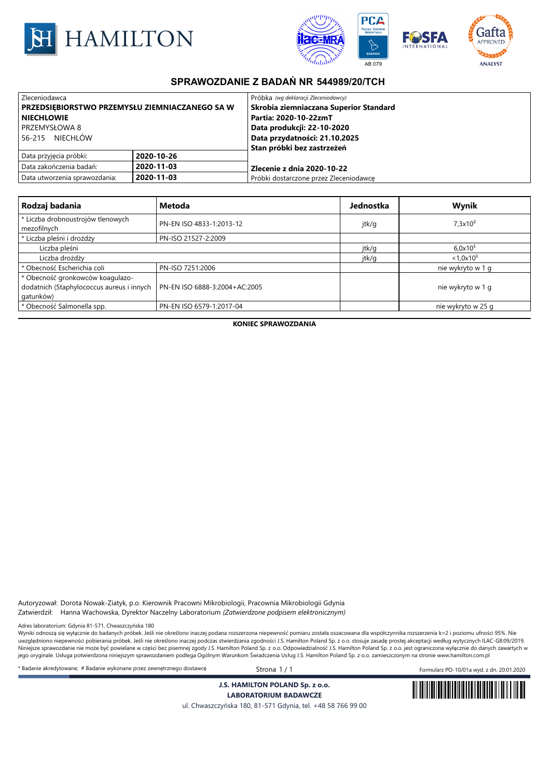



## **SPRAWOZDANIE Z BADAŃ NR 544989/20/TCH**

| Zleceniodawca                                  |            | Próbka (wg deklaracji Zleceniodawcy)   |  |
|------------------------------------------------|------------|----------------------------------------|--|
| PRZEDSIEBIORSTWO PRZEMYSŁU ZIEMNIACZANEGO SA W |            | Skrobia ziemniaczana Superior Standard |  |
| l NIECHLOWIE                                   |            | Partia: 2020-10-22zmT                  |  |
| <b>PRZEMYSŁOWA 8</b>                           |            | Data produkcji: 22-10-2020             |  |
| NIECHLÓW<br>56-215                             |            | Data przydatności: 21.10.2025          |  |
|                                                |            | Stan próbki bez zastrzeżeń             |  |
| Data przyjęcia próbki:                         | 2020-10-26 |                                        |  |
| Data zakończenia badań:                        | 2020-11-03 | l Zlecenie z dnia 2020-10-22           |  |
| Data utworzenia sprawozdania:                  | 2020-11-03 | Próbki dostarczone przez Zleceniodawce |  |

| Rodzaj badania                                                                             | <b>Metoda</b>                 | Jednostka | Wynik                 |
|--------------------------------------------------------------------------------------------|-------------------------------|-----------|-----------------------|
| * Liczba drobnoustrojów tlenowych<br>mezofilnych                                           | PN-EN ISO 4833-1:2013-12      | jtk/g     | $7.3 \times 10^2$     |
| * Liczba pleśni i drożdży                                                                  | PN-ISO 21527-2:2009           |           |                       |
| Liczba pleśni                                                                              |                               | jtk/g     | 6.0x10 <sup>1</sup>   |
| Liczba drożdży                                                                             |                               | jtk/g     | $< 1.0 \times 10^{1}$ |
| * Obecność Escherichia coli                                                                | PN-ISO 7251:2006              |           | nie wykryto w 1 g     |
| * Obecność gronkowców koagulazo-<br>dodatnich (Staphylococcus aureus i innych<br>gatunków) | PN-EN ISO 6888-3:2004+AC:2005 |           | nie wykryto w 1 g     |
| * Obecność Salmonella spp.                                                                 | PN-EN ISO 6579-1:2017-04      |           | nie wykryto w 25 g    |

**KONIEC SPRAWOZDANIA**

Autoryzował: Dorota Nowak-Ziatyk, p.o. Kierownik Pracowni Mikrobiologii, Pracownia Mikrobiologii Gdynia Zatwierdził: Hanna Wachowska, Dyrektor Naczelny Laboratorium *(Zatwierdzone podpisem elektronicznym)*

Adres laboratorium: Gdynia 81-571, Chwaszczyńska 180

wawa wawa wa wawa wawa wawa wa wazazy wa wazaza wa wana konsegne podana rozszerzona niepewność pomiaru została oszacowana dla współczynnika rozszerzenia k=2 i poziomu ufności 95%. Nie zakazy walazzerzenia k=2 i poziomu uf uwzględniono niepewności pobierania próbek. Jeśli nie określono inaczej podczas stwierdzania zgodności J.S. Hamilton Poland Sp. z o.o. stosuje zasadę prostej akceptacji według wytycznych ILAC-G8:09/2019. Niniejsze sprawozdanie nie może być powielane w części bez pisemnej zgody J.S. Hamilton Poland Sp. z o.o. Odpowiedzialność J.S. Hamilton Poland Sp. z o.o. jest ograniczona wyłącznie do danych zawartych w jego oryginale. Usługa potwierdzona niniejszym sprawozdaniem podlega Ogólnym Warunkom Świadczenia Usług J.S. Hamilton Poland Sp. z o.o. zamieszczonym na stronie www.hamilton.com.pl

\* Badanie akredytowane; # Badanie wykonane przez zewnętrznego dostawcę Strona 1 / 1 Formularz PO-10/01a wyd. z dn. 20.01.2020

**J.S. HAMILTON POLAND Sp. z o.o.**



**LABORATORIUM BADAWCZE** ul. Chwaszczyńska 180, 81-571 Gdynia, tel. +48 58 766 99 00